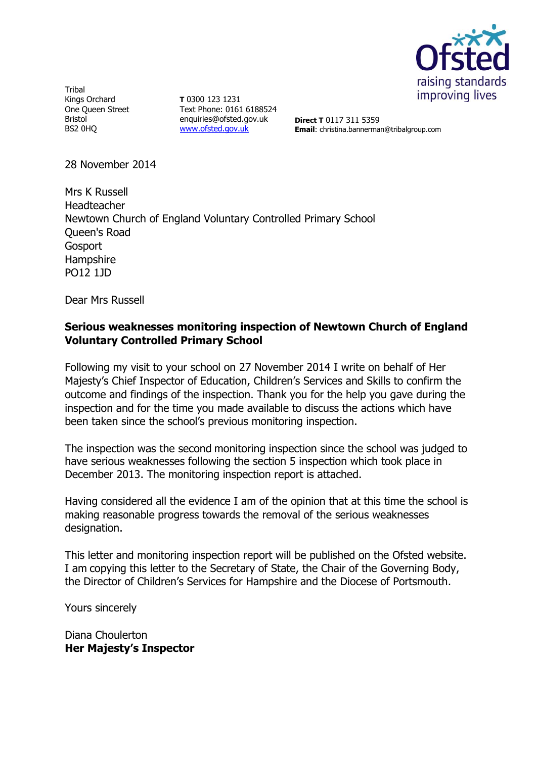

Tribal Kings Orchard One Queen Street Bristol BS2 0HQ

**T** 0300 123 1231 Text Phone: 0161 6188524 enquiries@ofsted.gov.uk [www.ofsted.gov.uk](http://www.ofsted.gov.uk/)

**Direct T** 0117 311 5359 **Email**: christina.bannerman@tribalgroup.com

28 November 2014

Mrs K Russell Headteacher Newtown Church of England Voluntary Controlled Primary School Queen's Road Gosport **Hampshire** PO12 1JD

Dear Mrs Russell

#### **Serious weaknesses monitoring inspection of Newtown Church of England Voluntary Controlled Primary School**

Following my visit to your school on 27 November 2014 I write on behalf of Her Majesty's Chief Inspector of Education, Children's Services and Skills to confirm the outcome and findings of the inspection. Thank you for the help you gave during the inspection and for the time you made available to discuss the actions which have been taken since the school's previous monitoring inspection.

The inspection was the second monitoring inspection since the school was judged to have serious weaknesses following the section 5 inspection which took place in December 2013. The monitoring inspection report is attached.

Having considered all the evidence I am of the opinion that at this time the school is making reasonable progress towards the removal of the serious weaknesses designation.

This letter and monitoring inspection report will be published on the Ofsted website. I am copying this letter to the Secretary of State, the Chair of the Governing Body, the Director of Children's Services for Hampshire and the Diocese of Portsmouth.

Yours sincerely

Diana Choulerton **Her Majesty's Inspector**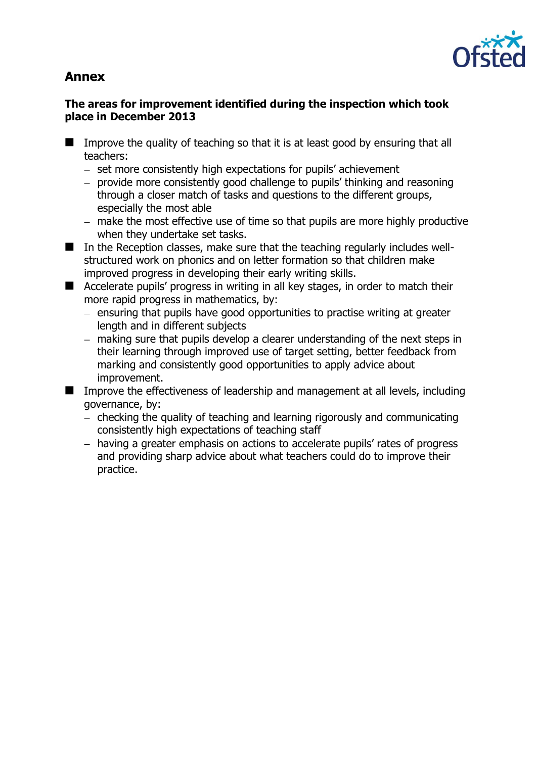# **Annex**



### **The areas for improvement identified during the inspection which took place in December 2013**

- Improve the quality of teaching so that it is at least good by ensuring that all teachers:
	- set more consistently high expectations for pupils' achievement
	- provide more consistently good challenge to pupils' thinking and reasoning through a closer match of tasks and questions to the different groups, especially the most able
	- make the most effective use of time so that pupils are more highly productive when they undertake set tasks.
- In the Reception classes, make sure that the teaching regularly includes wellstructured work on phonics and on letter formation so that children make improved progress in developing their early writing skills.
- Accelerate pupils' progress in writing in all key stages, in order to match their more rapid progress in mathematics, by:
	- $-$  ensuring that pupils have good opportunities to practise writing at greater length and in different subjects
	- making sure that pupils develop a clearer understanding of the next steps in their learning through improved use of target setting, better feedback from marking and consistently good opportunities to apply advice about improvement.
- **IMP** Improve the effectiveness of leadership and management at all levels, including governance, by:
	- checking the quality of teaching and learning rigorously and communicating consistently high expectations of teaching staff
	- having a greater emphasis on actions to accelerate pupils' rates of progress and providing sharp advice about what teachers could do to improve their practice.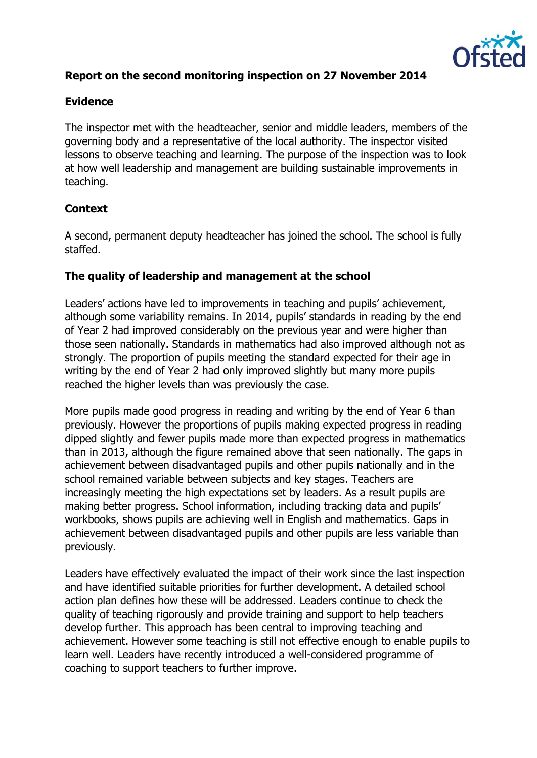

# **Report on the second monitoring inspection on 27 November 2014**

### **Evidence**

The inspector met with the headteacher, senior and middle leaders, members of the governing body and a representative of the local authority. The inspector visited lessons to observe teaching and learning. The purpose of the inspection was to look at how well leadership and management are building sustainable improvements in teaching.

# **Context**

A second, permanent deputy headteacher has joined the school. The school is fully staffed.

#### **The quality of leadership and management at the school**

Leaders' actions have led to improvements in teaching and pupils' achievement, although some variability remains. In 2014, pupils' standards in reading by the end of Year 2 had improved considerably on the previous year and were higher than those seen nationally. Standards in mathematics had also improved although not as strongly. The proportion of pupils meeting the standard expected for their age in writing by the end of Year 2 had only improved slightly but many more pupils reached the higher levels than was previously the case.

More pupils made good progress in reading and writing by the end of Year 6 than previously. However the proportions of pupils making expected progress in reading dipped slightly and fewer pupils made more than expected progress in mathematics than in 2013, although the figure remained above that seen nationally. The gaps in achievement between disadvantaged pupils and other pupils nationally and in the school remained variable between subjects and key stages. Teachers are increasingly meeting the high expectations set by leaders. As a result pupils are making better progress. School information, including tracking data and pupils' workbooks, shows pupils are achieving well in English and mathematics. Gaps in achievement between disadvantaged pupils and other pupils are less variable than previously.

Leaders have effectively evaluated the impact of their work since the last inspection and have identified suitable priorities for further development. A detailed school action plan defines how these will be addressed. Leaders continue to check the quality of teaching rigorously and provide training and support to help teachers develop further. This approach has been central to improving teaching and achievement. However some teaching is still not effective enough to enable pupils to learn well. Leaders have recently introduced a well-considered programme of coaching to support teachers to further improve.